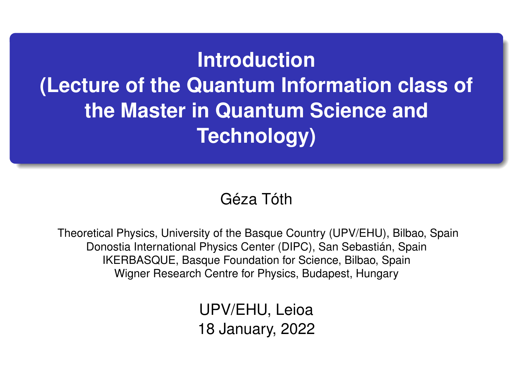## **Introduction (Lecture of the Quantum Information class of the Master in Quantum Science and Technology)**

## Géza Tóth

Theoretical Physics, University of the Basque Country (UPV/EHU), Bilbao, Spain Donostia International Physics Center (DIPC), San Sebastián, Spain IKERBASQUE, Basque Foundation for Science, Bilbao, Spain Wigner Research Centre for Physics, Budapest, Hungary

> UPV/EHU, Leioa 18 January, 2022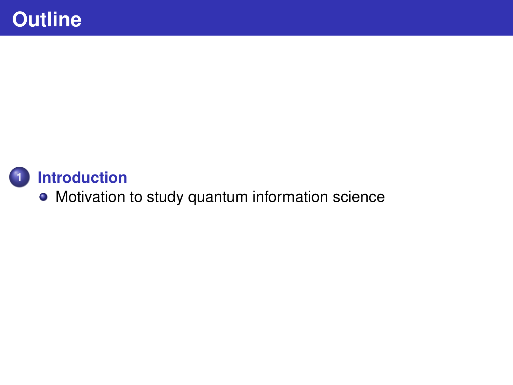<span id="page-1-0"></span>

[Motivation to study quantum information science](#page-1-0)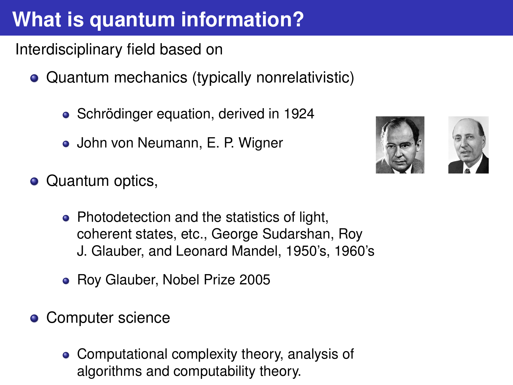## **What is quantum information?**

Interdisciplinary field based on

- Quantum mechanics (typically nonrelativistic)
	- Schrödinger equation, derived in 1924
	- John von Neumann, E. P. Wigner





- Quantum optics,
	- Photodetection and the statistics of light, coherent states, etc., George Sudarshan, Roy J. Glauber, and Leonard Mandel, 1950's, 1960's
	- Roy Glauber, Nobel Prize 2005
- Computer science
	- Computational complexity theory, analysis of algorithms and computability theory.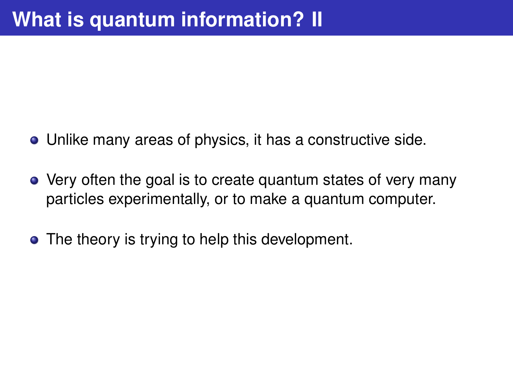- Unlike many areas of physics, it has a constructive side.
- Very often the goal is to create quantum states of very many particles experimentally, or to make a quantum computer.
- The theory is trying to help this development.